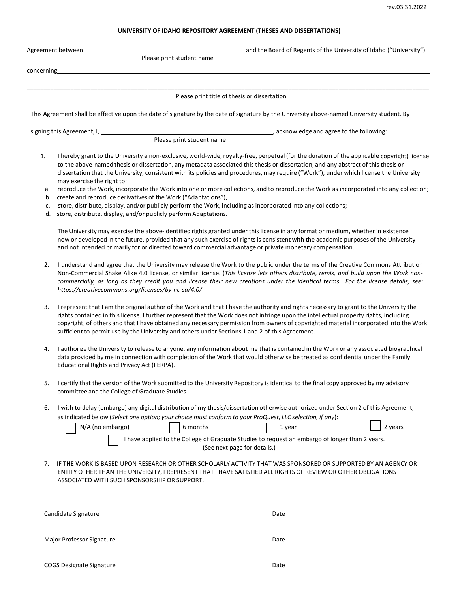## **UNIVERSITY OF IDAHO REPOSITORY AGREEMENT (THESES AND DISSERTATIONS)**

|                           | Agreement between<br>Please print student name                                                                                                                                                                                                                                                                                                                                                                                                                                                                                | and the Board of Regents of the University of Idaho ("University")                                                                                                                                                                                                                                                                                                                                                            |  |
|---------------------------|-------------------------------------------------------------------------------------------------------------------------------------------------------------------------------------------------------------------------------------------------------------------------------------------------------------------------------------------------------------------------------------------------------------------------------------------------------------------------------------------------------------------------------|-------------------------------------------------------------------------------------------------------------------------------------------------------------------------------------------------------------------------------------------------------------------------------------------------------------------------------------------------------------------------------------------------------------------------------|--|
| concerning                |                                                                                                                                                                                                                                                                                                                                                                                                                                                                                                                               |                                                                                                                                                                                                                                                                                                                                                                                                                               |  |
|                           |                                                                                                                                                                                                                                                                                                                                                                                                                                                                                                                               |                                                                                                                                                                                                                                                                                                                                                                                                                               |  |
|                           |                                                                                                                                                                                                                                                                                                                                                                                                                                                                                                                               | Please print title of thesis or dissertation                                                                                                                                                                                                                                                                                                                                                                                  |  |
|                           |                                                                                                                                                                                                                                                                                                                                                                                                                                                                                                                               | This Agreement shall be effective upon the date of signature by the date of signature by the University above-named University student. By                                                                                                                                                                                                                                                                                    |  |
|                           | signing this Agreement, I,                                                                                                                                                                                                                                                                                                                                                                                                                                                                                                    | acknowledge and agree to the following:                                                                                                                                                                                                                                                                                                                                                                                       |  |
|                           | Please print student name                                                                                                                                                                                                                                                                                                                                                                                                                                                                                                     |                                                                                                                                                                                                                                                                                                                                                                                                                               |  |
| 1.                        | may exercise the right to:                                                                                                                                                                                                                                                                                                                                                                                                                                                                                                    | I hereby grant to the University a non-exclusive, world-wide, royalty-free, perpetual (for the duration of the applicable copyright) license<br>to the above-named thesis or dissertation, any metadata associated this thesis or dissertation, and any abstract of this thesis or<br>dissertation that the University, consistent with its policies and procedures, may require ("Work"), under which license the University |  |
| а.<br>b.                  | create and reproduce derivatives of the Work ("Adaptations"),                                                                                                                                                                                                                                                                                                                                                                                                                                                                 | reproduce the Work, incorporate the Work into one or more collections, and to reproduce the Work as incorporated into any collection;                                                                                                                                                                                                                                                                                         |  |
| c.<br>d.                  | store, distribute, display, and/or publicly perform the Work, including as incorporated into any collections;<br>store, distribute, display, and/or publicly perform Adaptations.                                                                                                                                                                                                                                                                                                                                             |                                                                                                                                                                                                                                                                                                                                                                                                                               |  |
|                           | and not intended primarily for or directed toward commercial advantage or private monetary compensation.                                                                                                                                                                                                                                                                                                                                                                                                                      | The University may exercise the above-identified rights granted under this license in any format or medium, whether in existence<br>now or developed in the future, provided that any such exercise of rights is consistent with the academic purposes of the University                                                                                                                                                      |  |
| 2.                        | https://creativecommons.org/licenses/by-nc-sa/4.0/                                                                                                                                                                                                                                                                                                                                                                                                                                                                            | I understand and agree that the University may release the Work to the public under the terms of the Creative Commons Attribution<br>Non-Commercial Shake Alike 4.0 license, or similar license. (This license lets others distribute, remix, and build upon the Work non-<br>commercially, as long as they credit you and license their new creations under the identical terms. For the license details, see:               |  |
| 3.                        | I represent that I am the original author of the Work and that I have the authority and rights necessary to grant to the University the<br>rights contained in this license. I further represent that the Work does not infringe upon the intellectual property rights, including<br>copyright, of others and that I have obtained any necessary permission from owners of copyrighted material incorporated into the Work<br>sufficient to permit use by the University and others under Sections 1 and 2 of this Agreement. |                                                                                                                                                                                                                                                                                                                                                                                                                               |  |
| 4.                        | Educational Rights and Privacy Act (FERPA).                                                                                                                                                                                                                                                                                                                                                                                                                                                                                   | I authorize the University to release to anyone, any information about me that is contained in the Work or any associated biographical<br>data provided by me in connection with completion of the Work that would otherwise be treated as confidential under the Family                                                                                                                                                      |  |
|                           | committee and the College of Graduate Studies.                                                                                                                                                                                                                                                                                                                                                                                                                                                                                | I certify that the version of the Work submitted to the University Repository is identical to the final copy approved by my advisory                                                                                                                                                                                                                                                                                          |  |
| 6.                        |                                                                                                                                                                                                                                                                                                                                                                                                                                                                                                                               | I wish to delay (embargo) any digital distribution of my thesis/dissertation otherwise authorized under Section 2 of this Agreement,                                                                                                                                                                                                                                                                                          |  |
|                           | as indicated below (Select one option; your choice must conform to your ProQuest, LLC selection, if any):                                                                                                                                                                                                                                                                                                                                                                                                                     |                                                                                                                                                                                                                                                                                                                                                                                                                               |  |
|                           | N/A (no embargo)<br>6 months                                                                                                                                                                                                                                                                                                                                                                                                                                                                                                  | 2 years<br>1 year                                                                                                                                                                                                                                                                                                                                                                                                             |  |
|                           |                                                                                                                                                                                                                                                                                                                                                                                                                                                                                                                               | I have applied to the College of Graduate Studies to request an embargo of longer than 2 years.<br>(See next page for details.)                                                                                                                                                                                                                                                                                               |  |
| 7.                        | ASSOCIATED WITH SUCH SPONSORSHIP OR SUPPORT.                                                                                                                                                                                                                                                                                                                                                                                                                                                                                  | IF THE WORK IS BASED UPON RESEARCH OR OTHER SCHOLARLY ACTIVITY THAT WAS SPONSORED OR SUPPORTED BY AN AGENCY OR<br>ENTITY OTHER THAN THE UNIVERSITY, I REPRESENT THAT I HAVE SATISFIED ALL RIGHTS OF REVIEW OR OTHER OBLIGATIONS                                                                                                                                                                                               |  |
|                           |                                                                                                                                                                                                                                                                                                                                                                                                                                                                                                                               |                                                                                                                                                                                                                                                                                                                                                                                                                               |  |
|                           | Candidate Signature                                                                                                                                                                                                                                                                                                                                                                                                                                                                                                           | Date                                                                                                                                                                                                                                                                                                                                                                                                                          |  |
|                           |                                                                                                                                                                                                                                                                                                                                                                                                                                                                                                                               |                                                                                                                                                                                                                                                                                                                                                                                                                               |  |
| Major Professor Signature |                                                                                                                                                                                                                                                                                                                                                                                                                                                                                                                               | Date                                                                                                                                                                                                                                                                                                                                                                                                                          |  |
|                           |                                                                                                                                                                                                                                                                                                                                                                                                                                                                                                                               |                                                                                                                                                                                                                                                                                                                                                                                                                               |  |
|                           | <b>COGS Designate Signature</b>                                                                                                                                                                                                                                                                                                                                                                                                                                                                                               | Date                                                                                                                                                                                                                                                                                                                                                                                                                          |  |